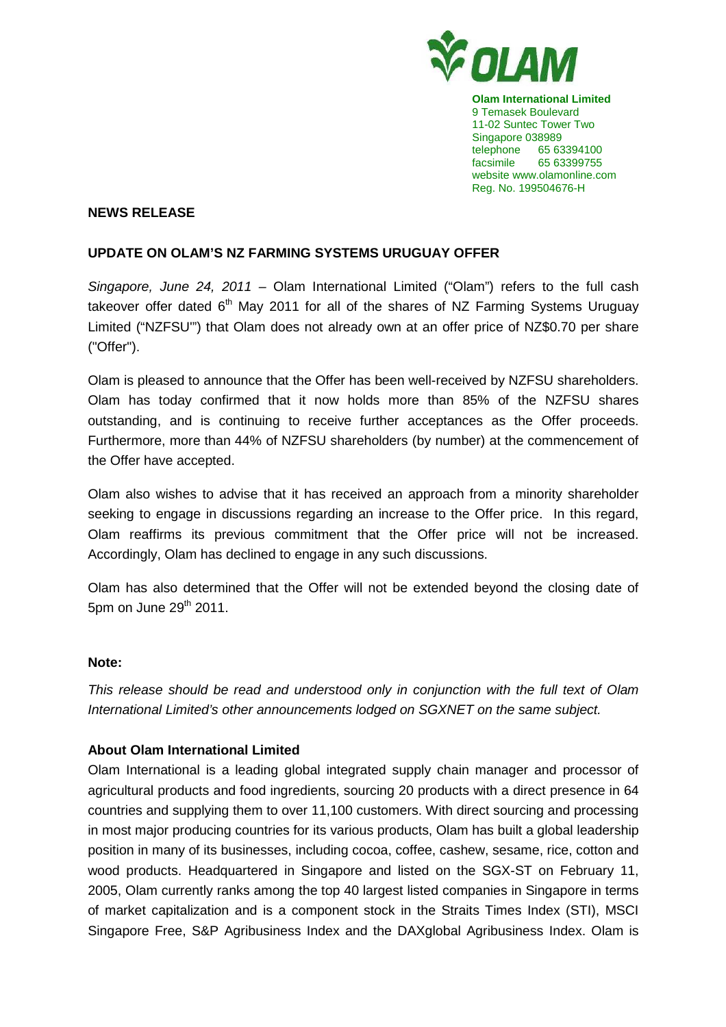

**Olam International Limited**  9 Temasek Boulevard 11-02 Suntec Tower Two Singapore 038989 telephone 65 63394100 facsimile 65 63399755 website www.olamonline.com Reg. No. 199504676-H

## **NEWS RELEASE**

## **UPDATE ON OLAM'S NZ FARMING SYSTEMS URUGUAY OFFER**

Singapore, June 24, 2011 – Olam International Limited ("Olam") refers to the full cash takeover offer dated  $6<sup>th</sup>$  May 2011 for all of the shares of NZ Farming Systems Uruguay Limited ("NZFSU'") that Olam does not already own at an offer price of NZ\$0.70 per share ("Offer").

Olam is pleased to announce that the Offer has been well-received by NZFSU shareholders. Olam has today confirmed that it now holds more than 85% of the NZFSU shares outstanding, and is continuing to receive further acceptances as the Offer proceeds. Furthermore, more than 44% of NZFSU shareholders (by number) at the commencement of the Offer have accepted.

Olam also wishes to advise that it has received an approach from a minority shareholder seeking to engage in discussions regarding an increase to the Offer price. In this regard, Olam reaffirms its previous commitment that the Offer price will not be increased. Accordingly, Olam has declined to engage in any such discussions.

Olam has also determined that the Offer will not be extended beyond the closing date of 5pm on June 29th 2011.

## **Note:**

This release should be read and understood only in conjunction with the full text of Olam International Limited's other announcements lodged on SGXNET on the same subject.

## **About Olam International Limited**

Olam International is a leading global integrated supply chain manager and processor of agricultural products and food ingredients, sourcing 20 products with a direct presence in 64 countries and supplying them to over 11,100 customers. With direct sourcing and processing in most major producing countries for its various products, Olam has built a global leadership position in many of its businesses, including cocoa, coffee, cashew, sesame, rice, cotton and wood products. Headquartered in Singapore and listed on the SGX-ST on February 11, 2005, Olam currently ranks among the top 40 largest listed companies in Singapore in terms of market capitalization and is a component stock in the Straits Times Index (STI), MSCI Singapore Free, S&P Agribusiness Index and the DAXglobal Agribusiness Index. Olam is